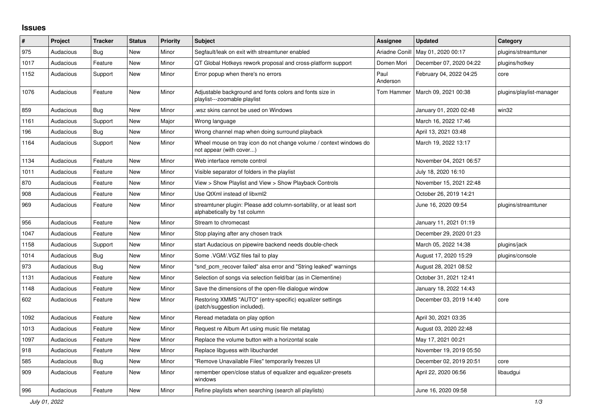## **Issues**

| $\#$ | Project   | <b>Tracker</b> | <b>Status</b> | <b>Priority</b> | <b>Subject</b>                                                                                      | <b>Assignee</b>  | <b>Updated</b>          | Category                 |
|------|-----------|----------------|---------------|-----------------|-----------------------------------------------------------------------------------------------------|------------------|-------------------------|--------------------------|
| 975  | Audacious | <b>Bug</b>     | <b>New</b>    | Minor           | Segfault/leak on exit with streamtuner enabled                                                      | Ariadne Conill   | May 01, 2020 00:17      | plugins/streamtuner      |
| 1017 | Audacious | Feature        | <b>New</b>    | Minor           | QT Global Hotkeys rework proposal and cross-platform support                                        | Domen Mori       | December 07, 2020 04:22 | plugins/hotkey           |
| 1152 | Audacious | Support        | New           | Minor           | Error popup when there's no errors                                                                  | Paul<br>Anderson | February 04, 2022 04:25 | core                     |
| 1076 | Audacious | Feature        | New           | Minor           | Adjustable background and fonts colors and fonts size in<br>playlist---zoomable playlist            | Tom Hammer       | March 09, 2021 00:38    | plugins/playlist-manager |
| 859  | Audacious | <b>Bug</b>     | <b>New</b>    | Minor           | .wsz skins cannot be used on Windows                                                                |                  | January 01, 2020 02:48  | win32                    |
| 1161 | Audacious | Support        | <b>New</b>    | Major           | Wrong language                                                                                      |                  | March 16, 2022 17:46    |                          |
| 196  | Audacious | Bug            | <b>New</b>    | Minor           | Wrong channel map when doing surround playback                                                      |                  | April 13, 2021 03:48    |                          |
| 1164 | Audacious | Support        | New           | Minor           | Wheel mouse on tray icon do not change volume / context windows do<br>not appear (with cover)       |                  | March 19, 2022 13:17    |                          |
| 1134 | Audacious | Feature        | <b>New</b>    | Minor           | Web interface remote control                                                                        |                  | November 04, 2021 06:57 |                          |
| 1011 | Audacious | Feature        | <b>New</b>    | Minor           | Visible separator of folders in the playlist                                                        |                  | July 18, 2020 16:10     |                          |
| 870  | Audacious | Feature        | <b>New</b>    | Minor           | View > Show Playlist and View > Show Playback Controls                                              |                  | November 15, 2021 22:48 |                          |
| 908  | Audacious | Feature        | <b>New</b>    | Minor           | Use QtXml instead of libxml2                                                                        |                  | October 26, 2019 14:21  |                          |
| 969  | Audacious | Feature        | New           | Minor           | streamtuner plugin: Please add column-sortability, or at least sort<br>alphabetically by 1st column |                  | June 16, 2020 09:54     | plugins/streamtuner      |
| 956  | Audacious | Feature        | <b>New</b>    | Minor           | Stream to chromecast                                                                                |                  | January 11, 2021 01:19  |                          |
| 1047 | Audacious | Feature        | <b>New</b>    | Minor           | Stop playing after any chosen track                                                                 |                  | December 29, 2020 01:23 |                          |
| 1158 | Audacious | Support        | <b>New</b>    | Minor           | start Audacious on pipewire backend needs double-check                                              |                  | March 05, 2022 14:38    | plugins/jack             |
| 1014 | Audacious | <b>Bug</b>     | <b>New</b>    | Minor           | Some .VGM/.VGZ files fail to play                                                                   |                  | August 17, 2020 15:29   | plugins/console          |
| 973  | Audacious | Bug            | <b>New</b>    | Minor           | "snd pcm recover failed" alsa error and "String leaked" warnings                                    |                  | August 28, 2021 08:52   |                          |
| 1131 | Audacious | Feature        | <b>New</b>    | Minor           | Selection of songs via selection field/bar (as in Clementine)                                       |                  | October 31, 2021 12:41  |                          |
| 1148 | Audacious | Feature        | <b>New</b>    | Minor           | Save the dimensions of the open-file dialogue window                                                |                  | January 18, 2022 14:43  |                          |
| 602  | Audacious | Feature        | <b>New</b>    | Minor           | Restoring XMMS "AUTO" (entry-specific) equalizer settings<br>(patch/suggestion included).           |                  | December 03, 2019 14:40 | core                     |
| 1092 | Audacious | Feature        | <b>New</b>    | Minor           | Reread metadata on play option                                                                      |                  | April 30, 2021 03:35    |                          |
| 1013 | Audacious | Feature        | New           | Minor           | Request re Album Art using music file metatag                                                       |                  | August 03, 2020 22:48   |                          |
| 1097 | Audacious | Feature        | New           | Minor           | Replace the volume button with a horizontal scale                                                   |                  | May 17, 2021 00:21      |                          |
| 918  | Audacious | Feature        | <b>New</b>    | Minor           | Replace libguess with libuchardet                                                                   |                  | November 19, 2019 05:50 |                          |
| 585  | Audacious | <b>Bug</b>     | <b>New</b>    | Minor           | "Remove Unavailable Files" temporarily freezes UI                                                   |                  | December 02, 2019 20:51 | core                     |
| 909  | Audacious | Feature        | New           | Minor           | remember open/close status of equalizer and equalizer-presets<br>windows                            |                  | April 22, 2020 06:56    | libaudgui                |
| 996  | Audacious | Feature        | New           | Minor           | Refine playlists when searching (search all playlists)                                              |                  | June 16, 2020 09:58     |                          |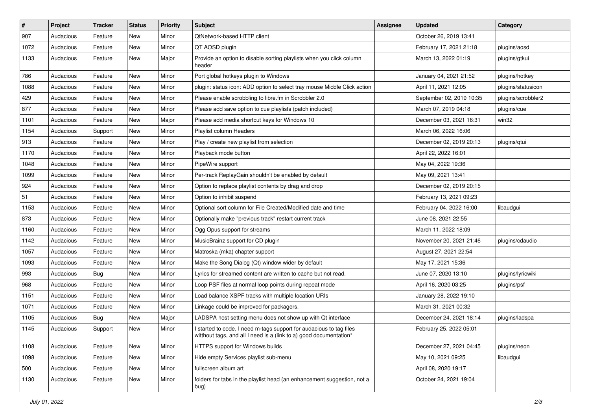| $\vert$ # | Project   | <b>Tracker</b> | <b>Status</b> | <b>Priority</b> | <b>Subject</b>                                                                                                                            | <b>Assignee</b> | <b>Updated</b>           | Category           |
|-----------|-----------|----------------|---------------|-----------------|-------------------------------------------------------------------------------------------------------------------------------------------|-----------------|--------------------------|--------------------|
| 907       | Audacious | Feature        | New           | Minor           | QtNetwork-based HTTP client                                                                                                               |                 | October 26, 2019 13:41   |                    |
| 1072      | Audacious | Feature        | <b>New</b>    | Minor           | QT AOSD plugin                                                                                                                            |                 | February 17, 2021 21:18  | plugins/aosd       |
| 1133      | Audacious | Feature        | New           | Major           | Provide an option to disable sorting playlists when you click column<br>header                                                            |                 | March 13, 2022 01:19     | plugins/gtkui      |
| 786       | Audacious | Feature        | <b>New</b>    | Minor           | Port global hotkeys plugin to Windows                                                                                                     |                 | January 04, 2021 21:52   | plugins/hotkey     |
| 1088      | Audacious | Feature        | New           | Minor           | plugin: status icon: ADD option to select tray mouse Middle Click action                                                                  |                 | April 11, 2021 12:05     | plugins/statusicon |
| 429       | Audacious | Feature        | <b>New</b>    | Minor           | Please enable scrobbling to libre.fm in Scrobbler 2.0                                                                                     |                 | September 02, 2019 10:35 | plugins/scrobbler2 |
| 877       | Audacious | Feature        | New           | Minor           | Please add save option to cue playlists (patch included)                                                                                  |                 | March 07, 2019 04:18     | plugins/cue        |
| 1101      | Audacious | Feature        | New           | Major           | Please add media shortcut keys for Windows 10                                                                                             |                 | December 03, 2021 16:31  | win32              |
| 1154      | Audacious | Support        | <b>New</b>    | Minor           | Playlist column Headers                                                                                                                   |                 | March 06, 2022 16:06     |                    |
| 913       | Audacious | Feature        | New           | Minor           | Play / create new playlist from selection                                                                                                 |                 | December 02, 2019 20:13  | plugins/qtui       |
| 1170      | Audacious | Feature        | New           | Minor           | Playback mode button                                                                                                                      |                 | April 22, 2022 16:01     |                    |
| 1048      | Audacious | Feature        | New           | Minor           | PipeWire support                                                                                                                          |                 | May 04, 2022 19:36       |                    |
| 1099      | Audacious | Feature        | New           | Minor           | Per-track ReplayGain shouldn't be enabled by default                                                                                      |                 | May 09, 2021 13:41       |                    |
| 924       | Audacious | Feature        | New           | Minor           | Option to replace playlist contents by drag and drop                                                                                      |                 | December 02, 2019 20:15  |                    |
| 51        | Audacious | Feature        | New           | Minor           | Option to inhibit suspend                                                                                                                 |                 | February 13, 2021 09:23  |                    |
| 1153      | Audacious | Feature        | New           | Minor           | Optional sort column for File Created/Modified date and time                                                                              |                 | February 04, 2022 16:00  | libaudgui          |
| 873       | Audacious | Feature        | New           | Minor           | Optionally make "previous track" restart current track                                                                                    |                 | June 08, 2021 22:55      |                    |
| 1160      | Audacious | Feature        | New           | Minor           | Ogg Opus support for streams                                                                                                              |                 | March 11, 2022 18:09     |                    |
| 1142      | Audacious | Feature        | <b>New</b>    | Minor           | MusicBrainz support for CD plugin                                                                                                         |                 | November 20, 2021 21:46  | plugins/cdaudio    |
| 1057      | Audacious | Feature        | New           | Minor           | Matroska (mka) chapter support                                                                                                            |                 | August 27, 2021 22:54    |                    |
| 1093      | Audacious | Feature        | New           | Minor           | Make the Song Dialog (Qt) window wider by default                                                                                         |                 | May 17, 2021 15:36       |                    |
| 993       | Audacious | <b>Bug</b>     | <b>New</b>    | Minor           | Lyrics for streamed content are written to cache but not read.                                                                            |                 | June 07, 2020 13:10      | plugins/lyricwiki  |
| 968       | Audacious | Feature        | New           | Minor           | Loop PSF files at normal loop points during repeat mode                                                                                   |                 | April 16, 2020 03:25     | plugins/psf        |
| 1151      | Audacious | Feature        | New           | Minor           | Load balance XSPF tracks with multiple location URIs                                                                                      |                 | January 28, 2022 19:10   |                    |
| 1071      | Audacious | Feature        | New           | Minor           | Linkage could be improved for packagers.                                                                                                  |                 | March 31, 2021 00:32     |                    |
| 1105      | Audacious | <b>Bug</b>     | <b>New</b>    | Major           | LADSPA host setting menu does not show up with Qt interface                                                                               |                 | December 24, 2021 18:14  | plugins/ladspa     |
| 1145      | Audacious | Support        | New           | Minor           | I started to code, I need m-tags support for audacious to tag files<br>witthout tags, and all I need is a (link to a) good documentation* |                 | February 25, 2022 05:01  |                    |
| 1108      | Audacious | Feature        | New           | Minor           | HTTPS support for Windows builds                                                                                                          |                 | December 27, 2021 04:45  | plugins/neon       |
| 1098      | Audacious | Feature        | New           | Minor           | Hide empty Services playlist sub-menu                                                                                                     |                 | May 10, 2021 09:25       | libaudgui          |
| 500       | Audacious | Feature        | New           | Minor           | fullscreen album art                                                                                                                      |                 | April 08, 2020 19:17     |                    |
| 1130      | Audacious | Feature        | New           | Minor           | folders for tabs in the playlist head (an enhancement suggestion, not a<br>bug)                                                           |                 | October 24, 2021 19:04   |                    |